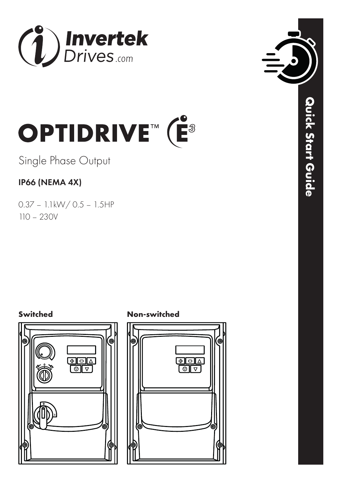

# **OPTIDRIVE™ (E<sup>3</sup>**

Single Phase Output

# IP66 (NEMA 4X)

0.37 – 1.1kW/ 0.5 – 1.5HP 110 – 230V



# **Switched Non-switched**

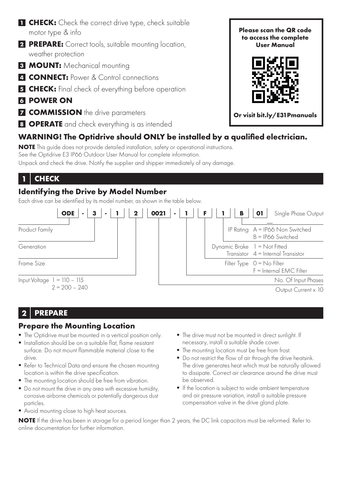- **1 CHECK:** Check the correct drive type, check suitable motor type & info
- **2 PREPARE:** Correct tools, suitable mounting location, weather protection
- **3 MOUNT: Mechanical mounting**
- **4 CONNECT:** Power & Control connections
- **5 CHECK:** Final check of everything before operation
- **6 POWER ON**
- **7 COMMISSION** the drive parameters
- **8 OPERATE** and check everything is as intended

# **WARNING! The Optidrive should ONLY be installed by a qualified electrician.**

**NOTE** This guide does not provide detailed installation, safety or operational instructions. See the Optidrive E3 IP66 Outdoor User Manual for complete information.

Unpack and check the drive. Notify the supplier and shipper immediately of any damage.

# **1 CHECK**

# **Identifying the Drive by Model Number**

Each drive can be identified by its model number, as shown in the table below.



# **2 PREPARE**

# **Prepare the Mounting Location**

- $\blacksquare$  The Optidrive must be mounted in a vertical position only.
- Installation should be on a suitable flat, flame resistant surface. Do not mount flammable material close to the drive.
- Refer to Technical Data and ensure the chosen mounting location is within the drive specification.
- The mounting location should be free from vibration.
- Do not mount the drive in any area with excessive humidity, corrosive airborne chemicals or potentially dangerous dust particles.
- Avoid mounting close to high heat sources.
- $\blacksquare$  The drive must not be mounted in direct sunlight. If necessary, install a suitable shade cover.
- $\blacksquare$  The mounting location must be free from frost.
- Do not restrict the flow of air through the drive heatsink. The drive generates heat which must be naturally allowed to dissipate. Correct air clearance around the drive must be observed.
- If the location is subject to wide ambient temperature and air pressure variation, install a suitable pressure compensation valve in the drive gland plate.

**NOTE** If the drive has been in storage for a period longer than 2 years, the DC link capacitors must be reformed. Refer to online documentation for further information.



**Please scan the QR code to access the complete** 

**Or visit bit.ly/E31Pmanuals**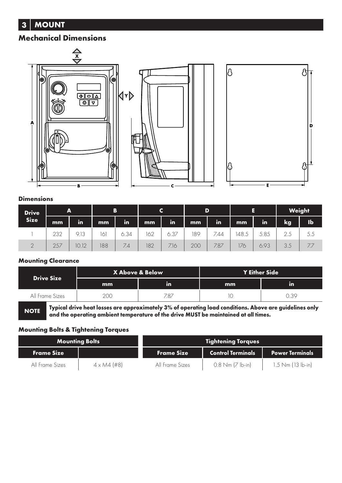#### **Mechanical Dimensions**



#### **Dimensions**

| Drive       |     | $\blacktriangle$ |     | B    |     | C                          | D   |      |       | э<br>ш |     | Weight       |
|-------------|-----|------------------|-----|------|-----|----------------------------|-----|------|-------|--------|-----|--------------|
| <b>Size</b> | mm  | in               | mm  | in   | mm  | $\mathsf{in}^{\mathsf{T}}$ | mm  | in   | mm    | in     | kg, | $\mathbf{I}$ |
|             | 232 | 9.13             | 161 | 0.34 | 162 | 6.37                       | 189 | 7.44 | 148.5 | 5.85   |     | 5.5          |
|             | 257 | 10.12            | 188 | 7.4  | 182 | 7.16                       | 200 | 7.87 | 176   | 6.93   | 3.5 | 7.7          |

#### **Mounting Clearance**

|                   | X Above & Below |      | Y Either Side |      |  |
|-------------------|-----------------|------|---------------|------|--|
| <b>Drive Size</b> | mm              | m    | mm            | m    |  |
| All Frame Sizes   | 200             | 7.87 |               | 0.39 |  |

**NOTE Typical drive heat losses are approximately 3% of operating load conditions. Above are guidelines only and the operating ambient temperature of the drive MUST be maintained at all times.**

#### **Mounting Bolts & Tightening Torques**

|                   | Mounting Bolts     | <b>Tightening Torques</b> |                          |                        |  |  |  |
|-------------------|--------------------|---------------------------|--------------------------|------------------------|--|--|--|
| <b>Frame Size</b> |                    | <b>Frame Size</b>         | <b>Control Terminals</b> | <b>Power Terminals</b> |  |  |  |
| All Frame Sizes   | $4 \times M4$ (#8) | All Frame Sizes           | $0.8$ Nm ( $7$ lb-in)    | $1.5$ Nm ( $13$ lb-in) |  |  |  |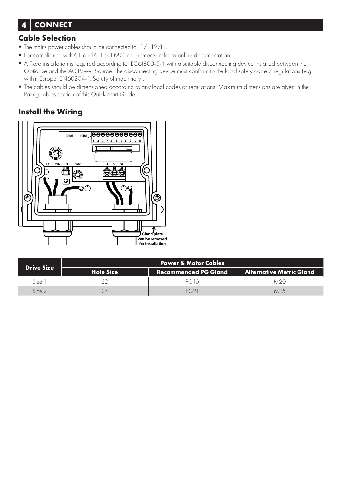# **4 CONNECT**

# **Cable Selection**

- The mains power cables should be connected to L1/L, L2/N.
- For compliance with CE and C Tick EMC requirements, refer to online documentation.
- A fixed installation is required according to IEC61800-5-1 with a suitable disconnecting device installed between the Optidrive and the AC Power Source. The disconnecting device must conform to the local safety code / regulations (e.g. within Europe, EN60204-1, Safety of machinery).
- The cables should be dimensioned according to any local codes or regulations. Maximum dimensions are given in the Rating Tables section of this Quick Start Guide.

# **Install the Wiring**



| Drive Size |                  | <b>Power &amp; Motor Cables</b> |                                 |  |  |  |  |  |  |
|------------|------------------|---------------------------------|---------------------------------|--|--|--|--|--|--|
|            | <b>Hole Size</b> | Recommended PG Gland            | <b>Alternative Metric Gland</b> |  |  |  |  |  |  |
| Sizel      |                  | PG 16                           | M20                             |  |  |  |  |  |  |
| Size 2     |                  | PG21                            | M25                             |  |  |  |  |  |  |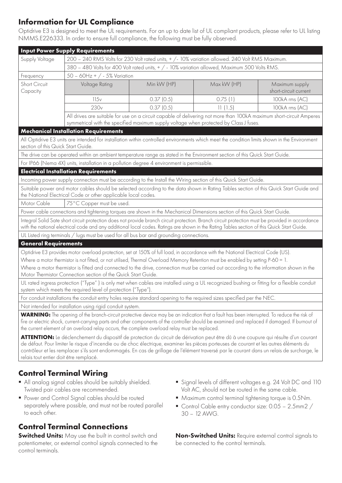# **Information for UL Compliance**

Optidrive E3 is designed to meet the UL requirements. For an up to date list of UL compliant products, please refer to UL listing NMMS.E226333. In order to ensure full compliance, the following must be fully observed.

|                                        | <b>Input Power Supply Requirements</b>                                                                                                                                                                                                                                                                                                                                                                                       |             |                                                                                                                                                                                                                |                                         |  |  |  |  |
|----------------------------------------|------------------------------------------------------------------------------------------------------------------------------------------------------------------------------------------------------------------------------------------------------------------------------------------------------------------------------------------------------------------------------------------------------------------------------|-------------|----------------------------------------------------------------------------------------------------------------------------------------------------------------------------------------------------------------|-----------------------------------------|--|--|--|--|
| Supply Voltage                         |                                                                                                                                                                                                                                                                                                                                                                                                                              |             |                                                                                                                                                                                                                |                                         |  |  |  |  |
|                                        | 200 - 240 RMS Volts for 230 Volt rated units, + /- 10% variation allowed. 240 Volt RMS Maximum.<br>380 - 480 Volts for 400 Volt rated units, + / - 10% variation allowed, Maximum 500 Volts RMS.                                                                                                                                                                                                                             |             |                                                                                                                                                                                                                |                                         |  |  |  |  |
| Frequency                              | $50 - 60Hz + 7 - 5%$ Variation                                                                                                                                                                                                                                                                                                                                                                                               |             |                                                                                                                                                                                                                |                                         |  |  |  |  |
| <b>Short Circuit</b><br>Capacity       | Voltage Rating                                                                                                                                                                                                                                                                                                                                                                                                               | Min kW (HP) | Max kW (HP)                                                                                                                                                                                                    | Maximum supply<br>short-circuit current |  |  |  |  |
|                                        | 115v                                                                                                                                                                                                                                                                                                                                                                                                                         | 0.37(0.5)   | 0.75(1)                                                                                                                                                                                                        | 100kA rms (AC)                          |  |  |  |  |
|                                        | 230 <sub>v</sub>                                                                                                                                                                                                                                                                                                                                                                                                             | 0.37(0.5)   | 11(1.5)                                                                                                                                                                                                        | 100kA rms (AC)                          |  |  |  |  |
|                                        |                                                                                                                                                                                                                                                                                                                                                                                                                              |             | All drives are suitable for use on a circuit capable of delivering not more than 100kA maximum short-circuit Amperes<br>symmetrical with the specified maximum supply voltage when protected by Class J fuses. |                                         |  |  |  |  |
|                                        | <b>Mechanical Installation Requirements</b>                                                                                                                                                                                                                                                                                                                                                                                  |             |                                                                                                                                                                                                                |                                         |  |  |  |  |
| section of this Quick Start Guide.     | All Optidrive E3 units are intended for installation within controlled environments which meet the condition limits shown in the Environment                                                                                                                                                                                                                                                                                 |             |                                                                                                                                                                                                                |                                         |  |  |  |  |
|                                        | The drive can be operated within an ambient temperature range as stated in the Environment section of this Quick Start Guide.                                                                                                                                                                                                                                                                                                |             |                                                                                                                                                                                                                |                                         |  |  |  |  |
|                                        | For IP66 (Nema 4X) units, installation in a pollution degree 4 environment is permissible.                                                                                                                                                                                                                                                                                                                                   |             |                                                                                                                                                                                                                |                                         |  |  |  |  |
|                                        | <b>Electrical Installation Requirements</b>                                                                                                                                                                                                                                                                                                                                                                                  |             |                                                                                                                                                                                                                |                                         |  |  |  |  |
|                                        | Incoming power supply connection must be according to the Install the Wiring section of this Quick Start Guide.                                                                                                                                                                                                                                                                                                              |             |                                                                                                                                                                                                                |                                         |  |  |  |  |
|                                        | Suitable power and motor cables should be selected according to the data shown in Rating Tables section of this Quick Start Guide and<br>the National Electrical Code or other applicable local codes.                                                                                                                                                                                                                       |             |                                                                                                                                                                                                                |                                         |  |  |  |  |
| Motor Cable                            | 75°C Copper must be used.                                                                                                                                                                                                                                                                                                                                                                                                    |             |                                                                                                                                                                                                                |                                         |  |  |  |  |
|                                        | Power cable connections and tightening torques are shown in the Mechanical Dimensions section of this Quick Start Guide.                                                                                                                                                                                                                                                                                                     |             |                                                                                                                                                                                                                |                                         |  |  |  |  |
|                                        | Integral Solid Sate short circuit protection does not provide branch circuit protection. Branch circuit protection must be provided in accordance<br>with the national electrical code and any additional local codes. Ratings are shown in the Rating Tables section of this Quick Start Guide.                                                                                                                             |             |                                                                                                                                                                                                                |                                         |  |  |  |  |
|                                        | UL Listed ring terminals / lugs must be used for all bus bar and grounding connections.                                                                                                                                                                                                                                                                                                                                      |             |                                                                                                                                                                                                                |                                         |  |  |  |  |
| <b>General Requirements</b>            |                                                                                                                                                                                                                                                                                                                                                                                                                              |             |                                                                                                                                                                                                                |                                         |  |  |  |  |
|                                        | Optidrive E3 provides motor overload protection, set at 150% of full load, in accordance with the National Electrical Code (US).                                                                                                                                                                                                                                                                                             |             |                                                                                                                                                                                                                |                                         |  |  |  |  |
|                                        | Where a motor thermistor is not fitted, or not utilised, Thermal Overload Memory Retention must be enabled by setting P-60 = 1.                                                                                                                                                                                                                                                                                              |             |                                                                                                                                                                                                                |                                         |  |  |  |  |
|                                        | Where a motor thermistor is fitted and connected to the drive, connection must be carried out according to the information shown in the<br>Motor Thermistor Connection section of the Quick Start Guide.                                                                                                                                                                                                                     |             |                                                                                                                                                                                                                |                                         |  |  |  |  |
|                                        | UL rated ingress protection ("Type") is only met when cables are installed using a UL recognized bushing or fitting for a flexible conduit<br>system which meets the required level of protection ("Type").                                                                                                                                                                                                                  |             |                                                                                                                                                                                                                |                                         |  |  |  |  |
|                                        | For conduit installations the conduit entry holes require standard opening to the required sizes specified per the NEC.                                                                                                                                                                                                                                                                                                      |             |                                                                                                                                                                                                                |                                         |  |  |  |  |
|                                        | Not intended for installation using rigid conduit system.                                                                                                                                                                                                                                                                                                                                                                    |             |                                                                                                                                                                                                                |                                         |  |  |  |  |
|                                        | <b>WARNING:</b> The opening of the branch-circuit protective device may be an indication that a fault has been interrupted. To reduce the risk of<br>fire or electric shock, current-carrying parts and other components of the controller should be examined and replaced if damaged. If burnout of<br>the current element of an overload relay occurs, the complete overload relay must be replaced.                       |             |                                                                                                                                                                                                                |                                         |  |  |  |  |
| relais tout entier doit être remplacé. | ATTENTION: Le déclenchement du dispositif de protection du circuit de dérivation peut être dû à une coupure qui résulte d'un courant<br>de défaut. Pour limiter le risque d'incendie ou de choc électrique, examiner les pièces porteuses de courant et les autres éléments du<br>contrôleur et les remplacer s'ils sont endommagés. En cas de grillage de l'élément traversé par le courant dans un relais de surcharge, le |             |                                                                                                                                                                                                                |                                         |  |  |  |  |

# **Control Terminal Wiring**

- All analog signal cables should be suitably shielded. Twisted pair cables are recommended.
- Power and Control Signal cables should be routed separately where possible, and must not be routed parallel to each other.

# **Control Terminal Connections**

**Switched Units:** May use the built in control switch and potentiometer, or external control signals connected to the control terminals.

- Signal levels of different voltages e.g. 24 Volt DC and 110 Volt AC, should not be routed in the same cable.
- Maximum control terminal tightening torque is 0.5Nm.
- Control Cable entry conductor size: 0.05 2.5mm2 / 30 – 12 AWG.

Non-Switched Units: Require external control signals to be connected to the control terminals.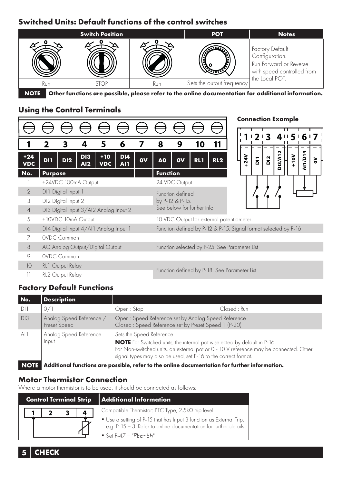# **Switched Units: Default functions of the control switches**



**NOTE Other functions are possible, please refer to the online documentation for additional information.**

 $\geq$ 

# **Using the Control Terminals**

|                     |                |                     |                   |                                        |                   |           |                 |                  |                                                                 |     | <b>Connection Example</b> |                |                |                    |        |                |
|---------------------|----------------|---------------------|-------------------|----------------------------------------|-------------------|-----------|-----------------|------------------|-----------------------------------------------------------------|-----|---------------------------|----------------|----------------|--------------------|--------|----------------|
|                     |                |                     |                   |                                        |                   |           |                 |                  |                                                                 |     |                           |                |                |                    |        |                |
|                     |                | 3                   | 4                 | 5                                      | 6                 |           | 8               | 9                | 10                                                              | 11  |                           |                |                |                    |        | 16             |
| $+24$<br><b>VDC</b> | D11            | DI2                 | <b>DI3</b><br>AI2 | $+10$<br><b>VDC</b>                    | DI4<br><b>AI1</b> | <b>OV</b> | A <sub>0</sub>  | <b>OV</b>        | RL <sub>1</sub>                                                 | RL2 | $+24V$                    | $\overline{a}$ | $\overline{a}$ | N<br><b>DI3/A1</b> | $-10V$ | <b>AI1/D14</b> |
| No.                 | <b>Purpose</b> |                     |                   |                                        |                   |           | <b>Function</b> |                  |                                                                 |     |                           |                |                |                    |        |                |
|                     |                | +24VDC 100mA Output |                   |                                        |                   |           |                 | 24 VDC Output    |                                                                 |     |                           |                |                |                    |        |                |
| $\overline{2}$      |                | DI1 Digital Input 1 |                   |                                        |                   |           |                 | Function defined |                                                                 |     |                           |                |                |                    |        |                |
| 3                   |                | DI2 Digital Input 2 |                   |                                        |                   |           |                 | by P-12 & P-15.  |                                                                 |     |                           |                |                |                    |        |                |
| $\overline{4}$      |                |                     |                   | DI3 Digital Input 3/AI2 Analog Input 2 |                   |           |                 |                  | See below for further info                                      |     |                           |                |                |                    |        |                |
| 5                   |                | +10VDC 10mA Output  |                   |                                        |                   |           |                 |                  | 10 VDC Output for external potentiometer                        |     |                           |                |                |                    |        |                |
| 6                   |                |                     |                   | DI4 Digital Input 4/AI1 Analog Input 1 |                   |           |                 |                  | Function defined by P-12 & P-15. Signal format selected by P-16 |     |                           |                |                |                    |        |                |
| $\overline{7}$      |                | <b>OVDC Common</b>  |                   |                                        |                   |           |                 |                  |                                                                 |     |                           |                |                |                    |        |                |
| 8                   |                |                     |                   | AO Analog Output/Digital Output        |                   |           |                 |                  | Function selected by P-25. See Parameter List                   |     |                           |                |                |                    |        |                |
| 9                   |                | <b>OVDC</b> Common  |                   |                                        |                   |           |                 |                  |                                                                 |     |                           |                |                |                    |        |                |
| 10                  |                | RL1 Output Relay    |                   |                                        |                   |           |                 |                  |                                                                 |     |                           |                |                |                    |        |                |
| 11                  |                | RL2 Output Relay    |                   |                                        |                   |           |                 |                  | Function defined by P-18. See Parameter List                    |     |                           |                |                |                    |        |                |

# **Factory Default Functions**

| No.  | <b>Description</b>                       |                                                                                                                                                                                                                                                                         |             |
|------|------------------------------------------|-------------------------------------------------------------------------------------------------------------------------------------------------------------------------------------------------------------------------------------------------------------------------|-------------|
| D11  | O/1                                      | Open: Stop                                                                                                                                                                                                                                                              | Closed: Run |
| DI3  | Analog Speed Reference /<br>Preset Speed | Open: Speed Reference set by Analog Speed Reference<br>Closed : Speed Reference set by Preset Speed 1 (P-20)                                                                                                                                                            |             |
| AI 1 | Analog Speed Reference<br>Input          | Sets the Speed Reference<br><b>NOTE</b> For Switched units, the internal pot is selected by default in P-16.<br>For Non-switched units, an external pot or 0 - 10 V reference may be connected. Other<br>signal types may also be used, set P-16 to the correct format. |             |

**NOTE Additional functions are possible, refer to the online documentation for further information.**

# **Motor Thermistor Connection**

Where a motor thermistor is to be used, it should be connected as follows:

|  | <b>Control Terminal Strip</b>   Additional Information                                                                                                                                                                                    |
|--|-------------------------------------------------------------------------------------------------------------------------------------------------------------------------------------------------------------------------------------------|
|  | Compatible Thermistor: PTC Type, 2.5kΩ trip level.<br>$\Box$ Use a setting of P-15 that has Input 3 function as External Trip,<br>e.g. P-15 = 3. Refer to online documentation for further details.<br>$S_{\text{et}} P - 47 = P + - + F$ |

**5 CHECK**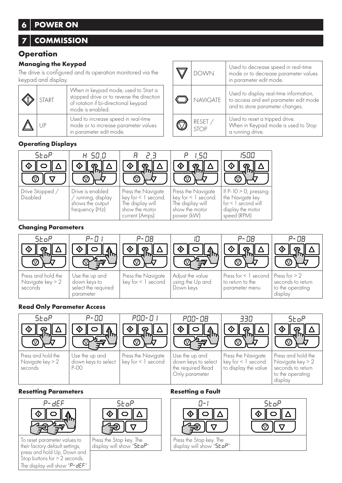# **6 POWER ON**

# **7 COMMISSION**

# **Operation**

#### **Managing the Keypad**

The drive is configured and its operation monitored via keypad and display.

| <b>START</b> | When in keypad mode, used to Start a<br>stopped drive or to reverse the direction<br>of rotation if bi-directional keypad<br>mode is enabled. |
|--------------|-----------------------------------------------------------------------------------------------------------------------------------------------|
|              | Used to increase speed in real-time<br>mode or to increase parameter values<br>in parameter edit mode.                                        |

#### **Operating Displays**

| ı the          | <b>DOWN</b>           | mode or to decrease parameter values<br>in parameter edit mode.                                                     |
|----------------|-----------------------|---------------------------------------------------------------------------------------------------------------------|
| art a<br>ction | <b>NAVIGATE</b>       | Used to display real-time information,<br>to access and exit parameter edit mode<br>and to store parameter changes. |
| ues            | RESET/<br><b>STOP</b> | Used to reset a tripped drive.<br>When in Keypad mode is used to Stop<br>a running drive.                           |
|                |                       |                                                                                                                     |

Used to decrease speed in real-time

| SEOP                                     | H 50 O                                                                     |                                                                                                      | 1 SO                                                                                             | 1500                                                                                                      |
|------------------------------------------|----------------------------------------------------------------------------|------------------------------------------------------------------------------------------------------|--------------------------------------------------------------------------------------------------|-----------------------------------------------------------------------------------------------------------|
| Drive Stopped /<br>Disabled <sup>®</sup> | Drive is enabled<br>running, display<br>shows the output<br>frequency (Hz) | Press the Navigate<br>$key for < 1 second$ .<br>The display will<br>show the motor<br>current (Amps) | Press the Navigate<br>$key for < 1 second$ .<br>The display will<br>show the motor<br>power (kW) | If $P-10 > 0$ , pressing<br>the Navigate key<br>$for < 1$ second will<br>display the motor<br>speed (RPM) |

#### **Changing Parameters**

| StoP                                              | <u>Р-П I</u>                                                       | P-08                                     |                                                   | P-08<br>♡                                                  | P- NA                                                               |
|---------------------------------------------------|--------------------------------------------------------------------|------------------------------------------|---------------------------------------------------|------------------------------------------------------------|---------------------------------------------------------------------|
| Press and hold the<br>Navigate key > 2<br>seconds | Use the up and<br>down keys to<br>select the required<br>parameter | Press the Navigate<br>key for < 1 second | Adjust the value<br>using the Up and<br>Down keys | Press for < 1 second<br>to return to the<br>parameter menu | Press for $> 2$<br>seconds to return<br>to the operating<br>display |

Δ

#### **Read Only Parameter Access**

P-00

| StoP |  |  |  |  |  |
|------|--|--|--|--|--|
|      |  |  |  |  |  |
|      |  |  |  |  |  |

Press and hold the Navigate key > 2 seconds



down keys to select Press the Naviaate key for < 1 second

閑



Use the up and down keys to select the required Read Only parameter



Δ ♡

Press and hold the Navigate key > 2 seconds to return to the operating display

#### **Resetting Parameters**



To reset parameter values to their factory default settings, press and hold Up, Down and Stop buttons for > 2 seconds. The display will show  $P - dEF$ 



Press the Stop key. The display will show "5t oP"

#### **Resetting a Fault**





Press the Naviaate key for < 1 second to display the value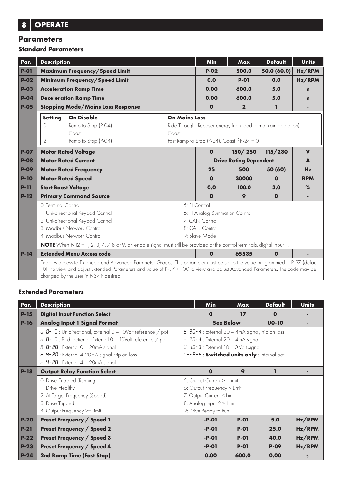# **Parameters**

**Standard Parameters**

| Par.        | <b>Description</b>                                                                                                                                                                                                                                                                                       |                                                                                                                                   |                      | Min                                               | Max                                                           | <b>Default</b> | <b>Units</b> |  |
|-------------|----------------------------------------------------------------------------------------------------------------------------------------------------------------------------------------------------------------------------------------------------------------------------------------------------------|-----------------------------------------------------------------------------------------------------------------------------------|----------------------|---------------------------------------------------|---------------------------------------------------------------|----------------|--------------|--|
| <b>P-01</b> |                                                                                                                                                                                                                                                                                                          | Maximum Frequency/Speed Limit                                                                                                     |                      | $P-02$                                            | 500.0                                                         | 50.0 (60.0)    | Hz/RPM       |  |
| $P-02$      |                                                                                                                                                                                                                                                                                                          | Minimum Frequency/Speed Limit                                                                                                     |                      |                                                   | <b>P-01</b>                                                   | 0.0            | Hz/RPM       |  |
| <b>P-03</b> | <b>Acceleration Ramp Time</b>                                                                                                                                                                                                                                                                            |                                                                                                                                   |                      | 0.00                                              | 600.0                                                         | 5.0            | $\mathbf{s}$ |  |
| $P-04$      | <b>Deceleration Ramp Time</b>                                                                                                                                                                                                                                                                            |                                                                                                                                   |                      | 0.00                                              | 600.0                                                         | 5.0            | $\mathbf{s}$ |  |
| $P-05$      |                                                                                                                                                                                                                                                                                                          | <b>Stopping Mode/Mains Loss Response</b>                                                                                          |                      | $\mathbf{o}$                                      | $\mathbf{2}$                                                  | ı              |              |  |
|             | <b>Setting</b>                                                                                                                                                                                                                                                                                           | <b>On Disable</b>                                                                                                                 | <b>On Mains Loss</b> |                                                   |                                                               |                |              |  |
|             | Ω                                                                                                                                                                                                                                                                                                        | Ramp to Stop (P-04)                                                                                                               |                      |                                                   | Ride Through (Recover energy from load to maintain operation) |                |              |  |
|             |                                                                                                                                                                                                                                                                                                          | Coast                                                                                                                             | Coast                |                                                   |                                                               |                |              |  |
|             | $\overline{2}$                                                                                                                                                                                                                                                                                           | Ramp to Stop (P-04)                                                                                                               |                      |                                                   | Fast Ramp to Stop (P-24), Coast if $P-24 = 0$                 |                |              |  |
| $P-O7$      |                                                                                                                                                                                                                                                                                                          | <b>Motor Rated Voltage</b>                                                                                                        |                      | $\mathbf{o}$                                      | 150/250                                                       | 115/230        | $\mathbf v$  |  |
| <b>P-08</b> | <b>Motor Rated Current</b>                                                                                                                                                                                                                                                                               |                                                                                                                                   |                      | <b>Drive Rating Dependent</b><br>$\blacktriangle$ |                                                               |                |              |  |
| <b>P-09</b> |                                                                                                                                                                                                                                                                                                          | <b>Motor Rated Frequency</b>                                                                                                      |                      | 25                                                | 500                                                           | 50 (60)        | Hz           |  |
| $P-10$      |                                                                                                                                                                                                                                                                                                          | <b>Motor Rated Speed</b>                                                                                                          |                      | $\mathbf{o}$                                      | 30000                                                         | O              | <b>RPM</b>   |  |
| $P-11$      | <b>Start Boost Voltage</b>                                                                                                                                                                                                                                                                               |                                                                                                                                   |                      | 0.0                                               | 100.0                                                         | 3.0            | $\%$         |  |
| $P-12$      |                                                                                                                                                                                                                                                                                                          | <b>Primary Command Source</b>                                                                                                     |                      | $\mathbf{o}$                                      | 9                                                             | $\mathbf{o}$   |              |  |
|             | O. Terminal Control                                                                                                                                                                                                                                                                                      |                                                                                                                                   |                      | 5: PI Control                                     |                                                               |                |              |  |
|             |                                                                                                                                                                                                                                                                                                          | 1: Uni-directional Keypad Control                                                                                                 |                      | 6: PI Analog Summation Control                    |                                                               |                |              |  |
|             |                                                                                                                                                                                                                                                                                                          | 2: Uni-directional Keypad Control                                                                                                 |                      | 7: CAN Control                                    |                                                               |                |              |  |
|             |                                                                                                                                                                                                                                                                                                          | 3: Modbus Network Control                                                                                                         |                      | 8: CAN Control                                    |                                                               |                |              |  |
|             | 4: Modbus Network Control                                                                                                                                                                                                                                                                                |                                                                                                                                   |                      | 9: Slave Mode                                     |                                                               |                |              |  |
|             |                                                                                                                                                                                                                                                                                                          | <b>NOTE</b> When P-12 = 1, 2, 3, 4, 7, 8 or 9, an enable signal must still be provided at the control terminals, digital input 1. |                      |                                                   |                                                               |                |              |  |
| $P-14$      |                                                                                                                                                                                                                                                                                                          | <b>Extended Menu Access code</b>                                                                                                  |                      | $\mathbf{o}$                                      | 65535                                                         | $\mathbf{o}$   |              |  |
|             | Enables access to Extended and Advanced Parameter Groups. This parameter must be set to the value programmed in P-37 (default:<br>101) to view and adjust Extended Parameters and value of P-37 + 100 to view and adjust Advanced Parameters. The code may be<br>changed by the user in P-37 if desired. |                                                                                                                                   |                      |                                                   |                                                               |                |              |  |

#### **Extended Parameters**

| Par.        | <b>Description</b>                                                                       | Min                                            | <b>Max</b>       | <b>Default</b> | <b>Units</b> |
|-------------|------------------------------------------------------------------------------------------|------------------------------------------------|------------------|----------------|--------------|
| $P-15$      | <b>Digital Input Function Select</b>                                                     | O                                              | 17               | $\mathbf 0$    |              |
| $P-16$      | <b>Analog Input 1 Signal Format</b>                                                      |                                                | <b>See Below</b> | <b>UO-10</b>   |              |
|             | U 0-10: Unidirectional, External 0 - 10Volt reference / pot                              | Ł 20-4: External 20 - 4mA signal, trip on loss |                  |                |              |
|             | <b>b</b> $\Box$ - $\Box$ : Bi-directional, External $\bigcirc$ – 10Volt reference / pot  | $-20-4$ : External 20 - 4mA signal             |                  |                |              |
|             | $\overline{H}$ $\overline{D}$ - $\overline{c}$ $\overline{U}$ : External 0 – 20mA signal | $U$ ID-D : External 10 - 0 Volt signal         |                  |                |              |
|             | E 4-20: External 4-20mA signal, trip on loss                                             | In-Pab: Switched units only: Internal pot      |                  |                |              |
|             | $-4-20$ : External $4-20$ mA signal                                                      |                                                |                  |                |              |
| <b>P-18</b> | <b>Output Relay Function Select</b>                                                      | O                                              | 9                |                |              |
|             | O: Drive Enabled (Running)                                                               | 5: Output Current >= Limit                     |                  |                |              |
|             | 1: Drive Healthy                                                                         | 6: Output Frequency < Limit                    |                  |                |              |
|             | 2: At Target Frequency (Speed)                                                           | 7: Output Current < Limit                      |                  |                |              |
|             | 3: Drive Tripped                                                                         | 8: Analog Input 2 > Limit                      |                  |                |              |
|             | 4: Output Frequency >= Limit                                                             | 9: Drive Ready to Run                          |                  |                |              |
| $P-20$      | <b>Preset Frequency / Speed 1</b>                                                        | $-P-O1$                                        | <b>P-01</b>      | 5.0            | Hz/RPM       |
| $P-21$      | <b>Preset Frequency / Speed 2</b>                                                        | $-P-O1$                                        | <b>P-01</b>      | 25.0           | Hz/RPM       |
| $P-22$      | <b>Preset Frequency / Speed 3</b>                                                        | $-P-O1$                                        | <b>P-01</b>      | 40.0           | Hz/RPM       |
| $P-23$      | <b>Preset Frequency / Speed 4</b>                                                        | $-P-O1$                                        | <b>P-01</b>      | P-09           | Hz/RPM       |
| $P-24$      | 2nd Ramp Time (Fast Stop)                                                                | 0.00                                           | 600.0            | 0.00           | $\mathbf{s}$ |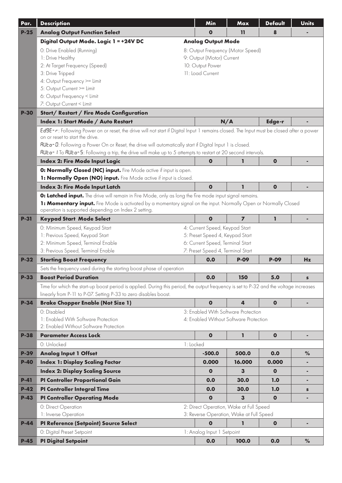| Par.        | <b>Description</b>                                                                                                                              | Min                               | Max                                      | <b>Default</b> | <b>Units</b> |  |  |  |  |
|-------------|-------------------------------------------------------------------------------------------------------------------------------------------------|-----------------------------------|------------------------------------------|----------------|--------------|--|--|--|--|
| $P-25$      | <b>Analog Output Function Select</b>                                                                                                            | $\bullet$                         | 11                                       | 8              |              |  |  |  |  |
|             | Digital Output Mode. Logic 1 = +24V DC<br><b>Analog Output Mode</b>                                                                             |                                   |                                          |                |              |  |  |  |  |
|             | O: Drive Enabled (Running)                                                                                                                      | 8: Output Frequency (Motor Speed) |                                          |                |              |  |  |  |  |
|             | 1: Drive Healthy<br>9: Output (Motor) Current                                                                                                   |                                   |                                          |                |              |  |  |  |  |
|             | 2: At Target Frequency (Speed)<br>10: Output Power                                                                                              |                                   |                                          |                |              |  |  |  |  |
|             | 3: Drive Tripped                                                                                                                                | 11: Load Current                  |                                          |                |              |  |  |  |  |
|             | 4: Output Frequency >= Limit                                                                                                                    |                                   |                                          |                |              |  |  |  |  |
|             | 5: Output Current >= Limit<br>6: Output Frequency < Limit                                                                                       |                                   |                                          |                |              |  |  |  |  |
|             | 7: Output Current < Limit                                                                                                                       |                                   |                                          |                |              |  |  |  |  |
| <b>P-30</b> | <b>Start/ Restart / Fire Mode Configuration</b>                                                                                                 |                                   |                                          |                |              |  |  |  |  |
|             | Index 1: Start Mode / Auto Restart                                                                                                              |                                   | N/A                                      | Edge-r         |              |  |  |  |  |
|             | Ed9E-r: Following Power on or reset, the drive will not start if Digital Input 1 remains closed. The Input must be closed after a power         |                                   |                                          |                |              |  |  |  |  |
|             | on or reset to start the drive.                                                                                                                 |                                   |                                          |                |              |  |  |  |  |
|             | RUED-D: Following a Power On or Reset, the drive will automatically start if Digital Input 1 is closed.                                         |                                   |                                          |                |              |  |  |  |  |
|             | RUE o- I To RUE o- 5: Following a trip, the drive will make up to 5 attempts to restart at 20 second intervals.                                 |                                   |                                          |                |              |  |  |  |  |
|             | Index 2: Fire Mode Input Logic                                                                                                                  | $\mathbf{o}$                      | ı                                        | $\bullet$      |              |  |  |  |  |
|             | <b>0: Normally Closed (NC) input.</b> Fire Mode active if input is open.                                                                        |                                   |                                          |                |              |  |  |  |  |
|             | 1: Normally Open (NO) input. Fire Mode active if input is closed.                                                                               | $\mathbf{o}$                      | ı                                        | $\mathbf{o}$   |              |  |  |  |  |
|             | <b>Index 3: Fire Mode Input Latch</b><br>O: Latched input. The drive will remain in Fire Mode, only as long the fire mode input signal remains. |                                   |                                          |                |              |  |  |  |  |
|             | 1: Momentary input. Fire Mode is activated by a momentary signal on the input. Normally Open or Normally Closed                                 |                                   |                                          |                |              |  |  |  |  |
|             | operation is supported depending on Index 2 setting.                                                                                            |                                   |                                          |                |              |  |  |  |  |
| <b>P-31</b> | <b>Keypad Start Mode Select</b>                                                                                                                 | $\bullet$                         | $\overline{ }$                           | ı              |              |  |  |  |  |
|             | 4: Current Speed, Keypad Start<br>0: Minimum Speed, Keypad Start                                                                                |                                   |                                          |                |              |  |  |  |  |
|             | 1: Previous Speed, Keypad Start<br>5: Preset Speed 4, Keypad Start<br>6: Current Speed, Terminal Start                                          |                                   |                                          |                |              |  |  |  |  |
|             | 2: Minimum Speed, Terminal Enable<br>3: Previous Speed, Terminal Enable                                                                         |                                   | 7: Preset Speed 4, Terminal Start        |                |              |  |  |  |  |
| $P-32$      | <b>Starting Boost Frequency</b>                                                                                                                 | 0.0                               | <b>P-09</b>                              | <b>P-09</b>    | Hz           |  |  |  |  |
|             | Sets the frequency used during the starting boost phase of operation                                                                            |                                   |                                          |                |              |  |  |  |  |
| <b>P-33</b> | <b>Boost Period Duration</b>                                                                                                                    | 0.0                               | 150                                      | 5.0            | $\mathsf{s}$ |  |  |  |  |
|             | Time for which the start-up boost period is applied. During this period, the output frequency is set to P-32 and the voltage increases          |                                   |                                          |                |              |  |  |  |  |
|             | linearly from P-11 to P-07. Setting P-33 to zero disables boost.                                                                                |                                   |                                          |                |              |  |  |  |  |
| $P-34$      | <b>Brake Chopper Enable (Not Size 1)</b>                                                                                                        | $\bullet$                         | $\overline{4}$                           | $\mathbf{o}$   |              |  |  |  |  |
|             | 0: Disabled                                                                                                                                     |                                   | 3: Enabled With Software Protection      |                |              |  |  |  |  |
|             | 1: Enabled With Software Protection                                                                                                             |                                   | 4: Enabled Without Software Protection   |                |              |  |  |  |  |
|             | 2: Enabled Without Software Protection                                                                                                          |                                   |                                          |                |              |  |  |  |  |
| $P-38$      | <b>Parameter Access Lock</b>                                                                                                                    | $\bullet$                         | 1                                        | $\mathbf 0$    |              |  |  |  |  |
|             | 0: Unlocked                                                                                                                                     | 1: Locked                         |                                          |                |              |  |  |  |  |
| <b>P-39</b> | <b>Analog Input 1 Offset</b>                                                                                                                    | $-500.0$                          | 500.0                                    | 0.0            | $\%$         |  |  |  |  |
| $P-40$      | <b>Index 1: Display Scaling Factor</b>                                                                                                          | 0.000                             | 16.000                                   | 0.000          |              |  |  |  |  |
|             | <b>Index 2: Display Scaling Source</b>                                                                                                          | $\mathbf{o}$                      | 3                                        | $\mathbf{o}$   |              |  |  |  |  |
| $P-41$      | <b>PI Controller Proportional Gain</b>                                                                                                          | 0.0                               | 30.0                                     | 1.0            |              |  |  |  |  |
| $P-42$      | PI Controller Integral Time                                                                                                                     | 0.0                               | 30.0                                     | 1.0            | $\mathbf{s}$ |  |  |  |  |
| $P-43$      | <b>PI Controller Operating Mode</b>                                                                                                             | $\mathbf{o}$                      | 3                                        | $\mathbf{o}$   |              |  |  |  |  |
|             | 0: Direct Operation                                                                                                                             |                                   | 2: Direct Operation, Wake at Full Speed  |                |              |  |  |  |  |
|             | 1: Inverse Operation                                                                                                                            |                                   | 3: Reverse Operation, Wake at Full Speed |                |              |  |  |  |  |
| $P-44$      | PI Reference (Setpoint) Source Select                                                                                                           | $\mathbf{o}$                      | ı                                        | $\mathbf{o}$   | ٠            |  |  |  |  |
|             | O: Digital Preset Setpoint                                                                                                                      | 1: Analog Input 1 Setpoint        |                                          |                |              |  |  |  |  |
| $P-45$      | <b>PI Digital Setpoint</b>                                                                                                                      | 0.0                               | 100.0                                    | 0.0            | $\%$         |  |  |  |  |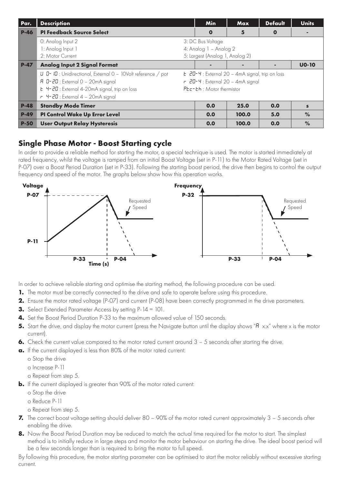| Par.   | <b>Description</b>                                          | Min                                                   | Max   | <b>Default</b> | <b>Units</b> |
|--------|-------------------------------------------------------------|-------------------------------------------------------|-------|----------------|--------------|
| $P-46$ | <b>PI Feedback Source Select</b>                            | O                                                     | 5     | $\Omega$       |              |
|        | 0: Analog Input 2                                           | 3: DC Bus Voltage                                     |       |                |              |
|        | 1: Analog Input 1                                           | 4: Analog 1 - Analog 2                                |       |                |              |
|        | 2: Motor Current                                            | 5: Largest (Analog 1, Analog 2)                       |       |                |              |
| $P-47$ | <b>Analog Input 2 Signal Format</b>                         |                                                       |       |                | <b>UO-10</b> |
|        | U D-ID: Unidirectional, External 0 - 10Volt reference / pot | $E$ $20 - 4$ : External 20 – 4mA signal, trip on loss |       |                |              |
|        | R D-20: External 0 - 20mA signal                            | $-20 - 4$ : External 20 - 4mA signal                  |       |                |              |
|        | E 4-20: External 4-20mA signal, trip on loss                | $P$ <b>Ec-Eh</b> : Motor thermistor                   |       |                |              |
|        | $-4-20$ : External $4-20$ mA signal                         |                                                       |       |                |              |
| $P-48$ | <b>Standby Mode Timer</b>                                   | 0.0                                                   | 25.0  | 0.0            | $\mathbf{s}$ |
| $P-49$ | PI Control Wake Up Error Level                              | 0.0                                                   | 100.0 | 5.0            | $\%$         |
| $P-50$ | <b>User Output Relay Hysteresis</b>                         | 0.0                                                   | 100.0 | 0.0            | $\%$         |

# **Single Phase Motor - Boost Starting cycle**

In order to provide a reliable method for starting the motor, a special technique is used. The motor is started immediately at rated frequency, whilst the voltage is ramped from an initial Boost Voltage (set in P-11) to the Motor Rated Voltage (set in P-07) over a Boost Period Duration (set in P-33). Following the starting boost period, the drive then begins to control the output frequency and speed of the motor. The graphs below show how this operation works.



In order to achieve reliable starting and optimise the starting method, the following procedure can be used.

- **1.** The motor must be correctly connected to the drive and safe to operate before using this procedure.
- **2.** Ensure the motor rated voltage (P-07) and current (P-08) have been correctly programmed in the drive parameters.
- **3.** Select Extended Parameter Access by setting P-14 = 101.
- **4.** Set the Boost Period Duration P-33 to the maximum allowed value of 150 seconds.
- **5.** Start the drive, and display the motor current (press the Navigate button until the display shows "R x.x" where x is the motor current).
- **6.** Check the current value compared to the motor rated current around 3 5 seconds after starting the drive.
- **a.** If the current displayed is less than 80% of the motor rated current:
	- o Stop the drive
		- o Increase P-11
		- o Repeat from step 5.
- **b.** If the current displayed is greater than 90% of the motor rated current:
	- o Stop the drive
	- o Reduce P-11
	- o Repeat from step 5.
- **7.** The correct boost voltage setting should deliver 80 90% of the motor rated current approximately 3 5 seconds after enabling the drive.
- 8. Now the Boost Period Duration may be reduced to match the actual time required for the motor to start. The simplest method is to initially reduce in large steps and monitor the motor behaviour on starting the drive. The ideal boost period will be a few seconds longer than is required to bring the motor to full speed.

By following this procedure, the motor starting parameter can be optimised to start the motor reliably without excessive starting current.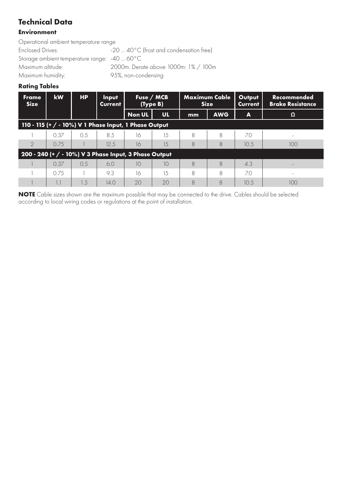# **Technical Data**

#### **Environment**

| Operational ambient temperature range        |                                         |
|----------------------------------------------|-----------------------------------------|
| <b>Enclosed Drives:</b>                      | -20  40°C (frost and condensation free) |
| Storage ambient temperature range: -40  60°C |                                         |
| Maximum altitude:                            | 2000m. Derate above 1000m: 1% / 100m    |
| Maximum humidity:                            | 95%, non-condensing                     |
|                                              |                                         |

#### **Rating Tables**

| <b>Frame</b><br><b>Size</b>                                        | kW                                                      | <b>HP</b> | <b>Input</b><br>Current |        | Fuse / MCB<br>(Type B) | Maximum Cable<br><b>Size</b> |            | Output<br><b>Current</b> | Recommended<br><b>Brake Resistance</b> |
|--------------------------------------------------------------------|---------------------------------------------------------|-----------|-------------------------|--------|------------------------|------------------------------|------------|--------------------------|----------------------------------------|
|                                                                    |                                                         |           |                         | Non UL | <b>UL</b>              | mm                           | <b>AWG</b> | A                        | Ω                                      |
|                                                                    | 110 - 115 (+ $/$ - 10%) V 1 Phase Input, 1 Phase Output |           |                         |        |                        |                              |            |                          |                                        |
|                                                                    | 0.37                                                    | 0.5       | 8.5                     | 16     | 15                     | 8                            | 8          | 7.0                      |                                        |
| $\mathcal{P}$                                                      | 0.75                                                    |           | 12.5                    | 16     | 1.5                    | 8                            | 8          | 10.5                     | 100                                    |
| 200 - 240 (+ $\overline{7}$ - 10%) V 3 Phase Input, 3 Phase Output |                                                         |           |                         |        |                        |                              |            |                          |                                        |
|                                                                    | 0.37                                                    | 0.5       | 6.0                     | 10     | 10                     | 8                            | 8          | 4.3                      | $\overline{\phantom{a}}$               |
|                                                                    | 0.75                                                    |           | 9.3                     | 16     | 15                     | 8                            | 8          | 7.0                      |                                        |
|                                                                    |                                                         | 1.5       | 14.0                    | 20     | 20                     | 8                            | 8          | 10.5                     | 100                                    |

**NOTE** Cable sizes shown are the maximum possible that may be connected to the drive. Cables should be selected according to local wiring codes or regulations at the point of installation.